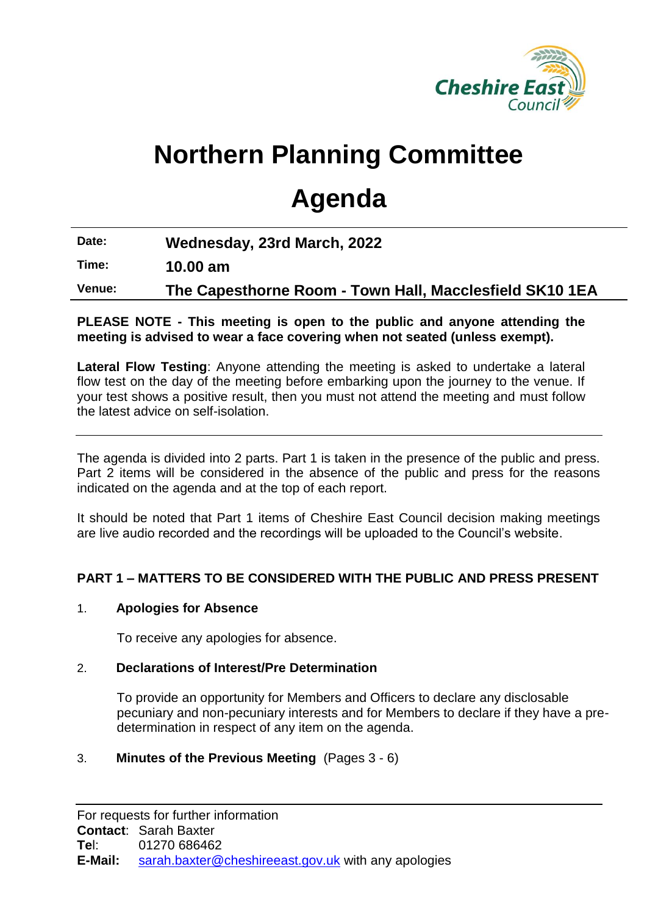

# **Northern Planning Committee**

# **Agenda**

**Date: Wednesday, 23rd March, 2022**

**Time: 10.00 am**

**Venue: The Capesthorne Room - Town Hall, Macclesfield SK10 1EA**

### **PLEASE NOTE - This meeting is open to the public and anyone attending the meeting is advised to wear a face covering when not seated (unless exempt).**

**Lateral Flow Testing**: Anyone attending the meeting is asked to undertake a lateral flow test on the day of the meeting before embarking upon the journey to the venue. If your test shows a positive result, then you must not attend the meeting and must follow the latest advice on self-isolation.

The agenda is divided into 2 parts. Part 1 is taken in the presence of the public and press. Part 2 items will be considered in the absence of the public and press for the reasons indicated on the agenda and at the top of each report.

It should be noted that Part 1 items of Cheshire East Council decision making meetings are live audio recorded and the recordings will be uploaded to the Council's website.

# **PART 1 – MATTERS TO BE CONSIDERED WITH THE PUBLIC AND PRESS PRESENT**

#### 1. **Apologies for Absence**

To receive any apologies for absence.

#### 2. **Declarations of Interest/Pre Determination**

To provide an opportunity for Members and Officers to declare any disclosable pecuniary and non-pecuniary interests and for Members to declare if they have a predetermination in respect of any item on the agenda.

## 3. **Minutes of the Previous Meeting** (Pages 3 - 6)